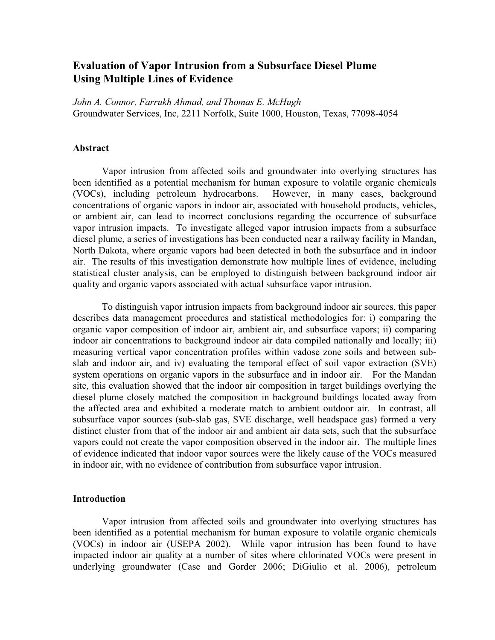# Evaluation of Vapor Intrusion from a Subsurface Diesel Plume Using Multiple Lines of Evidence

John A. Connor, Farrukh Ahmad, and Thomas E. McHugh Groundwater Services, Inc, 2211 Norfolk, Suite 1000, Houston, Texas, 77098-4054

## Abstract

Vapor intrusion from affected soils and groundwater into overlying structures has been identified as a potential mechanism for human exposure to volatile organic chemicals (VOCs), including petroleum hydrocarbons. However, in many cases, background concentrations of organic vapors in indoor air, associated with household products, vehicles, or ambient air, can lead to incorrect conclusions regarding the occurrence of subsurface vapor intrusion impacts. To investigate alleged vapor intrusion impacts from a subsurface diesel plume, a series of investigations has been conducted near a railway facility in Mandan, North Dakota, where organic vapors had been detected in both the subsurface and in indoor air. The results of this investigation demonstrate how multiple lines of evidence, including statistical cluster analysis, can be employed to distinguish between background indoor air quality and organic vapors associated with actual subsurface vapor intrusion.

To distinguish vapor intrusion impacts from background indoor air sources, this paper describes data management procedures and statistical methodologies for: i) comparing the organic vapor composition of indoor air, ambient air, and subsurface vapors; ii) comparing indoor air concentrations to background indoor air data compiled nationally and locally; iii) measuring vertical vapor concentration profiles within vadose zone soils and between subslab and indoor air, and iv) evaluating the temporal effect of soil vapor extraction (SVE) system operations on organic vapors in the subsurface and in indoor air. For the Mandan site, this evaluation showed that the indoor air composition in target buildings overlying the diesel plume closely matched the composition in background buildings located away from the affected area and exhibited a moderate match to ambient outdoor air. In contrast, all subsurface vapor sources (sub-slab gas, SVE discharge, well headspace gas) formed a very distinct cluster from that of the indoor air and ambient air data sets, such that the subsurface vapors could not create the vapor composition observed in the indoor air. The multiple lines of evidence indicated that indoor vapor sources were the likelycause of the VOCs measured in indoor air, with no evidence of contribution from subsurface vapor intrusion.

#### Introduction

Vapor intrusion from affected soils and groundwater into overlying structures has been identified as a potential mechanism for human exposure to volatile organic chemicals (VOCs)in indoor air (USEPA 2002). W hile vapor intrusion has been found to have impacted indoor air qualityat a number of sites where chlorinated VOCs were present in underlying groundwater (Case and Gorder 2006; DiGiulio et al. 2006), petroleum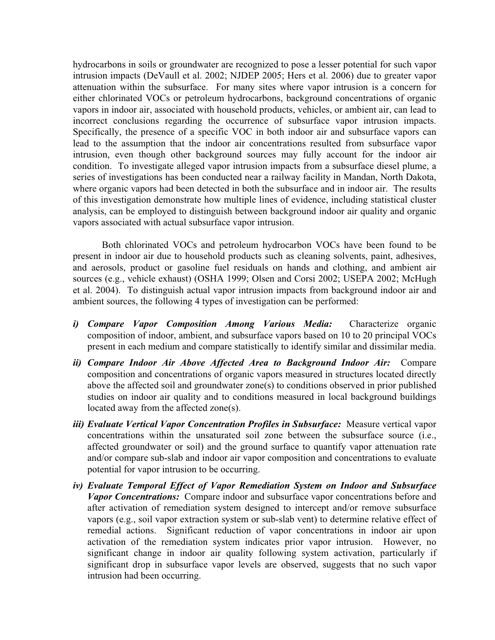hydrocarbons in soils or groundwater are recognized to pose a lesser potential for such vapor intrusion impacts (DeVaull et al. 2002; NJDEP 2005; Hers et al. 2006) due to greater vapor attenuation within the subsurface. For many sites where vapor intrusion is a concern for either chlorinated VOCs or petroleum hydrocarbons, background concentrations of organic vapors in indoor air, associated with household products, vehicles, or ambient air, can lead to incorrect conclusions regarding the occurrence of subsurface vapor intrusion impacts. Specifically, the presence of a specific VOC in both indoor air and subsurface vapors can lead to the assumption that the indoor air concentrations resulted from subsurface vapor intrusion, even though other background sources may fully account for the indoor air condition. To investigate alleged vapor intrusion impacts from a subsurface diesel plume, a series of investigations has been conducted near a railway facility in Mandan, North Dakota, where organic vapors had been detected in both the subsurface and in indoor air. The results of this investigation demonstrate how multiple lines of evidence, including statistical cluster analysis, can be employed to distinguish between background indoor air quality and organic vapors associated with actual subsurface vapor intrusion.

Both chlorinated VOCs and petroleum hydrocarbon VOCs have been found to be present in indoor air due to household products such as cleaning solvents, paint, adhesives, and aerosols, product or gasoline fuel residuals on hands and clothing, and ambient air sources (e.g., vehicle exhaust) (OSHA 1999; Olsen and Corsi 2002; USEPA 2002; McHugh et al. 2004). To distinguish actual vapor intrusion impacts from background indoor air and ambient sources, the following 4 types of investigation can be performed:

- i) Compare Vapor Composition Among Various Media: Characterize organic composition of indoor, ambient, and subsurface vapors based on 10 to 20 principal VOCs present in each medium and compare statistically to identify similar and dissimilar media.
- ii) Compare Indoor Air Above Affected Area to Background Indoor Air: Compare composition and concentrations of organic vapors measured in structures located directly above the affected soil and groundwater zone(s) to conditions observed in prior published studies on indoor air quality and to conditions measured in local background buildings located away from the affected zone(s).
- iii) Evaluate Vertical Vapor Concentration Profiles in Subsurface: Measure vertical vapor concentrations within the unsaturated soil zone between the subsurface source (i.e., affected groundwater or soil) and the ground surface to quantify vapor attenuation rate and/or compare sub-slab and indoor air vapor composition and concentrations to evaluate potential for vapor intrusion to be occurring.
- iv) Evaluate Temporal Effect of Vapor Remediation System on Indoor and Subsurface Vapor Concentrations: Compare indoor and subsurface vapor concentrations before and after activation of remediation system designed to intercept and/or remove subsurface vapors (e.g., soil vapor extraction system or sub-slab vent) to determine relative effect of remedial actions. Significant reduction of vapor concentrations in indoor air upon activation of the remediation system indicates prior vapor intrusion. However, no significant change in indoor air quality following system activation, particularly if significant drop in subsurface vapor levels are observed, suggests that no such vapor intrusion had been occurring.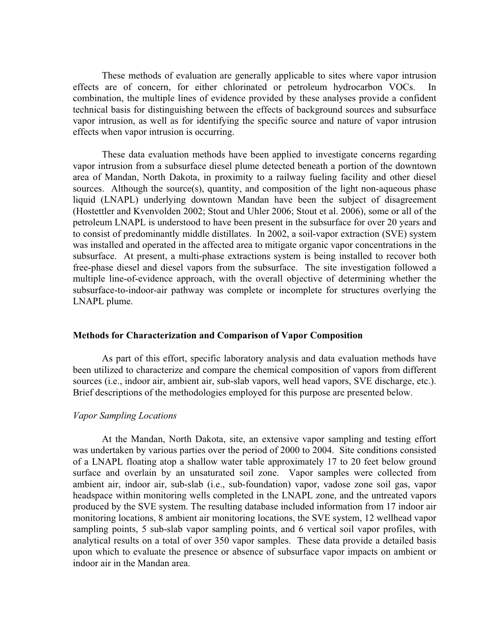These methods of evaluation are generally applicable to sites where vapor intrusion effects are of concern, for either chlorinated or petroleum hydrocarbon VOCs. In combination, the multiple lines of evidence provided by these analyses provide a confident technical basis for distinguishing between the effects of background sources and subsurface vapor intrusion, as well as for identifying the specific source and nature of vapor intrusion effects when vapor intrusion is occurring.

These data evaluation methods have been applied to investigate concerns regarding vapor intrusion from a subsurface diesel plume detected beneath a portion of the downtown area of Mandan, North Dakota, in proximity to a railway fueling facility and other diesel sources. Although the source(s), quantity, and composition of the light non-aqueous phase liquid (LNAPL) underlying downtown Mandan have been the subject of disagreement (Hostettler and Kvenvolden 2002; Stout and Uhler 2006; Stout et al. 2006), some or all of the petroleum LNAPL is understood to have been present in the subsurface for over 20 years and to consist of predominantly middle distillates. In 2002, a soil-vapor extraction (SVE) system was installed and operated in the affected area to mitigate organic vapor concentrations in the subsurface. At present, a multi-phase extractions system is being installed to recover both free-phase diesel and diesel vapors from the subsurface. The site investigation followed a multiple line-of-evidence approach, with the overall objective of determining whether the subsurface-to-indoor-air pathway was complete or incomplete for structures overlying the LNAPL plume.

#### Methods for Characterization and Comparison of Vapor Composition

As part of this effort, specific laboratory analysis and data evaluation methods have been utilized to characterize and compare the chemical composition of vapors from different sources (i.e., indoor air, ambient air, sub-slab vapors, well head vapors, SVE discharge, etc.). Brief descriptions of the methodologies employed for this purpose are presented below.

#### Vapor Sampling Locations

At the Mandan, North Dakota, site, an extensive vapor sampling and testing effort was undertaken by various parties over the period of 2000 to 2004. Site conditions consisted of a LNAPL floating atop a shallow water table approximately 17 to 20 feet below ground surface and overlain by an unsaturated soil zone. Vapor samples were collected from ambient air, indoor air, sub-slab (i.e., sub-foundation) vapor, vadose zone soil gas, vapor headspace within monitoring wells completed in the LNAPL zone, and the untreated vapors produced by the SVE system. The resulting database included information from 17 indoor air monitoring locations, 8 ambient air monitoring locations, the SVE system, 12 wellhead vapor sampling points, 5 sub-slab vapor sampling points, and 6 vertical soil vapor profiles, with analytical results on a total of over 350 vapor samples. These data provide a detailed basis upon which to evaluate the presence or absence of subsurface vapor impacts on ambient or indoor air in the Mandan area.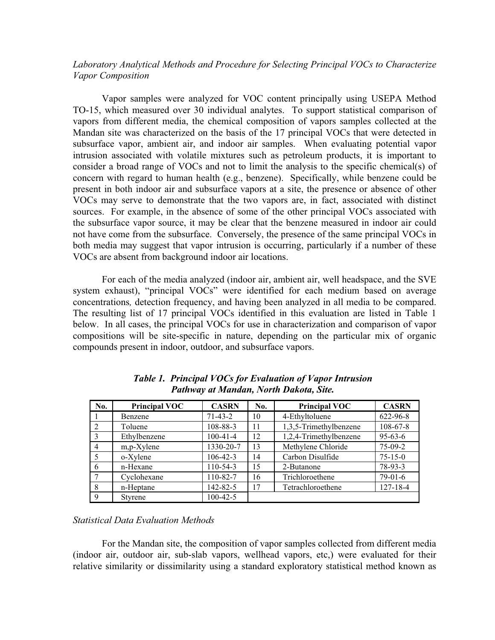Laboratory Analytical Methods and Procedure for Selecting Principal VOCs to Characterize Vapor Composition

Vapor samples were analyzed for VOC content principally using USEPA Method TO-15, which measured over 30 individual analytes. To support statistical comparison of vapors from different media, the chemical composition of vapors samples collected at the Mandan site was characterized on the basis of the 17 principal VOCs that were detected in subsurface vapor, ambient air, and indoor air samples. When evaluating potential vapor intrusion associated with volatile mixtures such as petroleum products, it is important to consider a broad range of VOCs and not to limit the analysis to the specific chemical(s) of concern with regard to human health (e.g., benzene). Specifically, while benzene could be present in both indoor air and subsurface vapors at a site, the presence or absence of other VOCs may serve to demonstrate that the two vapors are, in fact, associated with distinct sources. For example, in the absence of some of the other principal VOCs associated with the subsurface vapor source, it may be clear that the benzene measured in indoor air could not have come from the subsurface. Conversely, the presence of the same principal VOCs in both media may suggest that vapor intrusion is occurring, particularly if a number of these VOCs are absent from background indoor air locations.

For each of the media analyzed (indoor air, ambient air, well headspace, and the SVE system exhaust), "principal VOCs" were identified for each medium based on average concentrations, detection frequency, and having been analyzed in all media to be compared. The resulting list of 17 principal VOCs identified in this evaluation are listed in Table 1 below. In all cases, the principal VOCs for use in characterization and comparison of vapor compositions will be site-specific in nature, depending on the particular mix of organic compounds present in indoor, outdoor, and subsurface vapors.

| No.           | <b>Principal VOC</b> | <b>CASRN</b>   | No. | <b>Principal VOC</b>   | <b>CASRN</b>   |
|---------------|----------------------|----------------|-----|------------------------|----------------|
|               | Benzene              | $71 - 43 - 2$  | 10  | 4-Ethyltoluene         | 622-96-8       |
| $\mathcal{L}$ | Toluene              | 108-88-3       | 11  | 1,3,5-Trimethylbenzene | $108 - 67 - 8$ |
|               | Ethylbenzene         | $100 - 41 - 4$ | 12  | 1,2,4-Trimethylbenzene | $95 - 63 - 6$  |
| 4             | m,p-Xylene           | 1330-20-7      | 13  | Methylene Chloride     | $75-09-2$      |
|               | o-Xylene             | $106 - 42 - 3$ | 14  | Carbon Disulfide       | $75 - 15 - 0$  |
| 6             | n-Hexane             | 110-54-3       | 15  | 2-Butanone             | 78-93-3        |
|               | Cyclohexane          | 110-82-7       | 16  | Trichloroethene        | $79-01-6$      |
| 8             | n-Heptane            | 142-82-5       | 17  | Tetrachloroethene      | $127 - 18 - 4$ |
| 9             | <b>Styrene</b>       | $100-42-5$     |     |                        |                |

Table 1. Principal VOCs for Evaluation of Vapor Intrusion Pathway at Mandan, North Dakota, Site.

## Statistical Data Evaluation Methods

For the Mandan site, the composition of vapor samples collected from different media (indoor air, outdoor air, sub-slab vapors, wellhead vapors, etc,) were evaluated for their relative similarity or dissimilarity using a standard exploratory statistical method known as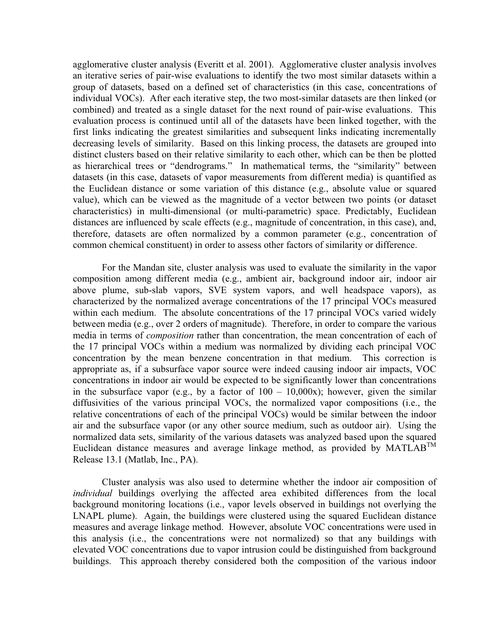agglomerative cluster analysis (Everitt et al. 2001). Agglomerative cluster analysis involves an iterative series of pair-wise evaluations to identify the two most similar datasets within a group of datasets, based on a defined set of characteristics (in this case, concentrations of individual VOCs). After each iterative step, the two most-similar datasets are then linked (or combined) and treated as a single dataset for the next round of pair-wise evaluations. This evaluation process is continued until all of the datasets have been linked together, with the first links indicating the greatest similarities and subsequent links indicating incrementally decreasing levels of similarity. Based on this linking process, the datasets are grouped into distinct clusters based on their relative similarity to each other, which can be then be plotted as hierarchical trees or "dendrograms." In mathematical terms, the "similarity" between datasets (in this case, datasets of vapor measurements from different media) is quantified as the Euclidean distance or some variation of this distance (e.g., absolute value or squared value), which can be viewed as the magnitude of a vector between two points (or dataset characteristics) in multi-dimensional (or multi-parametric) space. Predictably, Euclidean distances are influenced by scale effects (e.g., magnitude of concentration, in this case), and, therefore, datasets are often normalized by a common parameter (e.g., concentration of common chemical constituent) in order to assess other factors of similarity or difference.

For the Mandan site, cluster analysis was used to evaluate the similarity in the vapor composition among different media (e.g., ambient air, background indoor air, indoor air above plume, sub-slab vapors, SVE system vapors, and well headspace vapors), as characterized by the normalized average concentrations of the 17 principal VOCs measured within each medium. The absolute concentrations of the 17 principal VOCs varied widely between media (e.g., over 2 orders of magnitude). Therefore, in order to compare the various media in terms of composition rather than concentration, the mean concentration of each of the 17 principal VOCs within a medium was normalized by dividing each principal VOC concentration by the mean benzene concentration in that medium. This correction is appropriate as, if a subsurface vapor source were indeed causing indoor air impacts, VOC concentrations in indoor air would be expected to be significantly lower than concentrations in the subsurface vapor (e.g., by a factor of  $100 - 10,000x$ ); however, given the similar diffusivities of the various principal VOCs, the normalized vapor compositions (i.e., the relative concentrations of each of the principal VOCs) would be similar between the indoor air and the subsurface vapor (or any other source medium, such as outdoor air). Using the normalized data sets, similarity of the various datasets was analyzed based upon the squared Euclidean distance measures and average linkage method, as provided by  $MATLAB^{TM}$ Release 13.1 (Matlab, Inc., PA).

Cluster analysis was also used to determine whether the indoor air composition of individual buildings overlying the affected area exhibited differences from the local background monitoring locations (i.e., vapor levels observed in buildings not overlying the LNAPL plume). Again, the buildings were clustered using the squared Euclidean distance measures and average linkage method. However, absolute VOC concentrations were used in this analysis (i.e., the concentrations were not normalized) so that any buildings with elevated VOC concentrations due to vapor intrusion could be distinguished from background buildings. This approach thereby considered both the composition of the various indoor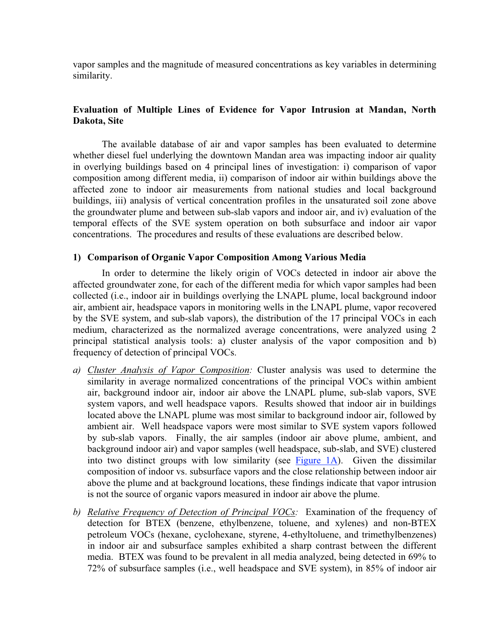vapor samples and the magnitude of measured concentrations as key variables in determining similarity.

# Evaluation of Multiple Lines of Evidence for Vapor Intrusion at Mandan, North Dakota, Site

The available database of air and vapor samples has been evaluated to determine whether diesel fuel underlying the downtown Mandan area was impacting indoor air quality in overlying buildings based on 4 principal lines of investigation: i) comparison of vapor composition among different media, ii) comparison of indoor air within buildings above the affected zone to indoor air measurements from national studies and local background buildings, iii) analysis of vertical concentration profiles in the unsaturated soil zone above the groundwater plume and between sub-slab vapors and indoor air, and iv) evaluation of the temporal effects of the SVE system operation on both subsurface and indoor air vapor concentrations. The procedures and results of these evaluations are described below.

## 1) Comparison of Organic Vapor Composition Among Various Media

In order to determine the likely origin of VOCs detected in indoor air above the affected groundwater zone, for each of the different media for which vapor samples had been collected (i.e., indoor air in buildings overlying the LNAPL plume, local background indoor air, ambient air, headspace vapors in monitoring wells in the LNAPL plume, vapor recovered by the SVE system, and sub-slab vapors), the distribution of the 17 principal VOCs in each medium, characterized as the normalized average concentrations, were analyzed using 2 principal statistical analysis tools: a) cluster analysis of the vapor composition and b) frequency of detection of principal VOCs.

- a) Cluster Analysis of Vapor Composition: Cluster analysis was used to determine the similarity in average normalized concentrations of the principal VOCs within ambient air, background indoor air, indoor air above the LNAPL plume, sub-slab vapors, SVE system vapors, and well headspace vapors. Results showed that indoor air in buildings located above the LNAPL plume was most similar to background indoor air, followed by ambient air. Well headspace vapors were most similar to SVE system vapors followed by sub-slab vapors. Finally, the air samples (indoor air above plume, ambient, and background indoor air) and vapor samples (well headspace, sub-slab, and SVE) clustered into two distinct groups with low similarity (see Figure 1A). Given the dissimilar composition of indoor vs. subsurface vapors and the close relationship between indoor air above the plume and at background locations, these findings indicate that vapor intrusion is not the source of organic vapors measured in indoor air above the plume.
- b) Relative Frequency of Detection of Principal VOCs: Examination of the frequency of detection for BTEX (benzene, ethylbenzene, toluene, and xylenes) and non-BTEX petroleum VOCs (hexane, cyclohexane, styrene, 4-ethyltoluene, and trimethylbenzenes) in indoor air and subsurface samples exhibited a sharp contrast between the different media. BTEX was found to be prevalent in all media analyzed, being detected in 69% to 72% of subsurface samples (i.e., well headspace and SVE system), in 85% of indoor air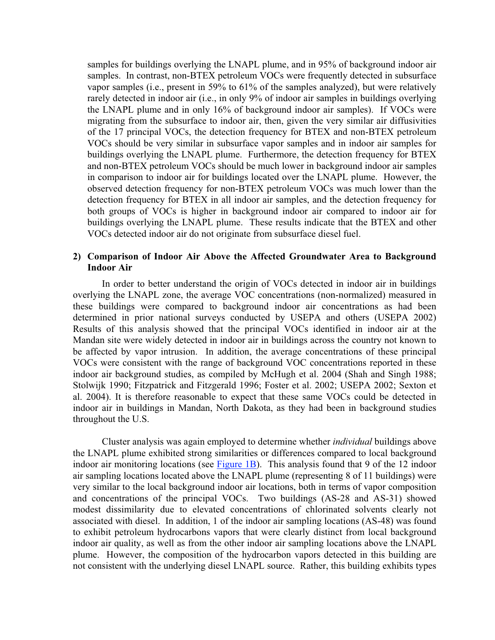samples for buildings overlying the LNAPL plume, and in 95% of background indoor air samples. In contrast, non-BTEX petroleum VOCs were frequently detected in subsurface vapor samples (i.e., present in 59% to 61% of the samples analyzed), but were relatively rarely detected in indoor air (i.e., in only 9% of indoor air samples in buildings overlying the LNAPL plume and in only 16% of background indoor air samples). If VOCs were migrating from the subsurface to indoor air, then, given the very similar air diffusivities of the 17 principal VOCs, the detection frequency for BTEX and non-BTEX petroleum VOCs should be very similar in subsurface vapor samples and in indoor air samples for buildings overlying the LNAPL plume. Furthermore, the detection frequency for BTEX and non-BTEX petroleum VOCs should be much lower in background indoor air samples in comparison to indoor air for buildings located over the LNAPL plume. However, the observed detection frequency for non-BTEX petroleum VOCs was much lower than the detection frequency for BTEX in all indoor air samples, and the detection frequency for both groups of VOCs is higher in background indoor air compared to indoor air for buildings overlying the LNAPL plume. These results indicate that the BTEX and other VOCs detected indoor air do not originate from subsurface diesel fuel.

### 2) Comparison of Indoor Air Above the Affected Groundwater Area to Background Indoor Air

In order to better understand the origin of VOCs detected in indoor air in buildings overlying the LNAPL zone, the average VOC concentrations (non-normalized) measured in these buildings were compared to background indoor air concentrations as had been determined in prior national surveys conducted by USEPA and others (USEPA 2002) Results of this analysis showed that the principal VOCs identified in indoor air at the Mandan site were widely detected in indoor air in buildings across the country not known to be affected by vapor intrusion. In addition, the average concentrations of these principal VOCs were consistent with the range of background VOC concentrations reported in these indoor air background studies, as compiled by McHugh et al. 2004 (Shah and Singh 1988; Stolwijk 1990; Fitzpatrick and Fitzgerald 1996; Foster et al. 2002; USEPA 2002; Sexton et al. 2004). It is therefore reasonable to expect that these same VOCs could be detected in indoor air in buildings in Mandan, North Dakota, as they had been in background studies throughout the U.S.

Cluster analysis was again employed to determine whether individual buildings above the LNAPL plume exhibited strong similarities or differences compared to local background indoor air monitoring locations (see  $Figure 1B$ ). This analysis found that 9 of the 12 indoor air sampling locations located above the LNAPL plume (representing 8 of 11 buildings) were very similar to the local background indoor air locations, both in terms of vapor composition and concentrations of the principal VOCs. Two buildings (AS-28 and AS-31) showed modest dissimilarity due to elevated concentrations of chlorinated solvents clearly not associated with diesel. In addition, 1 of the indoor air sampling locations (AS-48) was found to exhibit petroleum hydrocarbons vapors that were clearly distinct from local background indoor air quality, as well as from the other indoor air sampling locations above the LNAPL plume. However, the composition of the hydrocarbon vapors detected in this building are not consistent with the underlying diesel LNAPL source. Rather, this building exhibits types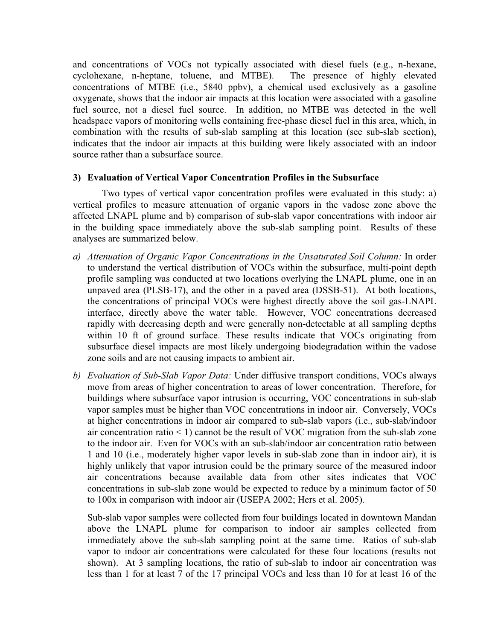and concentrations of VOCs not typically associated with diesel fuels (e.g., n-hexane, cyclohexane, n-heptane, toluene, and MTBE). The presence of highly elevated concentrations of MTBE (i.e., 5840 ppbv), a chemical used exclusively as a gasoline oxygenate, shows that the indoor air impacts at this location were associated with a gasoline fuel source, not a diesel fuel source. In addition, no MTBE was detected in the well headspace vapors of monitoring wells containing free-phase diesel fuel in this area, which, in combination with the results of sub-slab sampling at this location (see sub-slab section), indicates that the indoor air impacts at this building were likely associated with an indoor source rather than a subsurface source.

## 3) Evaluation of Vertical Vapor Concentration Profiles in the Subsurface

Two types of vertical vapor concentration profiles were evaluated in this study: a) vertical profiles to measure attenuation of organic vapors in the vadose zone above the affected LNAPL plume and b) comparison of sub-slab vapor concentrations with indoor air in the building space immediately above the sub-slab sampling point. Results of these analyses are summarized below.

- a) Attenuation of Organic Vapor Concentrations in the Unsaturated Soil Column: In order to understand the vertical distribution of VOCs within the subsurface, multi-point depth profile sampling was conducted at two locations overlying the LNAPL plume, one in an unpaved area (PLSB-17), and the other in a paved area (DSSB-51). At both locations, the concentrations of principal VOCs were highest directly above the soil gas-LNAPL interface, directly above the water table. However, VOC concentrations decreased rapidly with decreasing depth and were generally non-detectable at all sampling depths within 10 ft of ground surface. These results indicate that VOCs originating from subsurface diesel impacts are most likely undergoing biodegradation within the vadose zone soils and are not causing impacts to ambient air.
- b) Evaluation of Sub-Slab Vapor Data: Under diffusive transport conditions, VOCs always move from areas of higher concentration to areas of lower concentration. Therefore, for buildings where subsurface vapor intrusion is occurring, VOC concentrations in sub-slab vapor samples must be higher than VOC concentrations in indoor air. Conversely, VOCs at higher concentrations in indoor air compared to sub-slab vapors (i.e., sub-slab/indoor air concentration ratio  $\leq 1$ ) cannot be the result of VOC migration from the sub-slab zone to the indoor air. Even for VOCs with an sub-slab/indoor air concentration ratio between 1 and 10 (i.e., moderately higher vapor levels in sub-slab zone than in indoor air), it is highly unlikely that vapor intrusion could be the primary source of the measured indoor air concentrations because available data from other sites indicates that VOC concentrations in sub-slab zone would be expected to reduce by a minimum factor of 50 to 100x in comparison with indoor air (USEPA 2002; Hers et al. 2005).

Sub-slab vapor samples were collected from four buildings located in downtown Mandan above the LNAPL plume for comparison to indoor air samples collected from immediately above the sub-slab sampling point at the same time. Ratios of sub-slab vapor to indoor air concentrations were calculated for these four locations (results not shown). At 3 sampling locations, the ratio of sub-slab to indoor air concentration was less than 1 for at least 7 of the 17 principal VOCs and less than 10 for at least 16 of the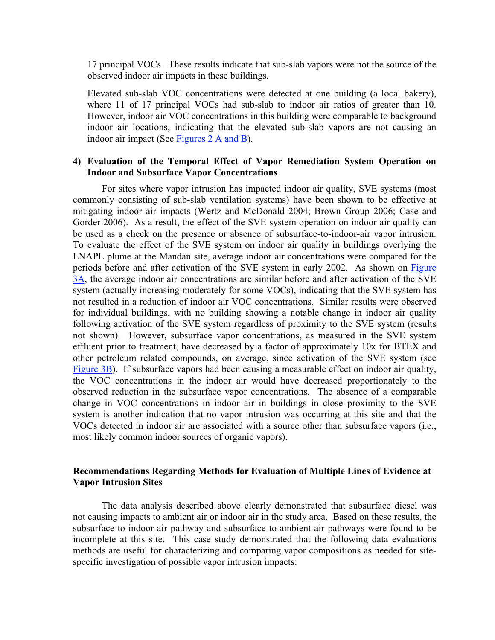17 principal VOCs. These results indicate that sub-slab vapors were not the source of the observed indoor air impacts in these buildings.

Elevated sub-slab VOC concentrations were detected at one building (a local bakery), where 11 of 17 principal VOCs had sub-slab to indoor air ratios of greater than 10. However, indoor air VOC concentrations in this building were comparable to background indoor air locations, indicating that the elevated sub-slab vapors are not causing an indoor air impact (See Figures 2 A and B).

## 4) Evaluation of the Temporal Effect of Vapor Remediation System Operation on Indoor and Subsurface Vapor Concentrations

For sites where vapor intrusion has impacted indoor air quality, SVE systems (most commonly consisting of sub-slab ventilation systems) have been shown to be effective at mitigating indoor air impacts (Wertz and McDonald 2004; Brown Group 2006; Case and Gorder 2006). As a result, the effect of the SVE system operation on indoor air quality can be used as a check on the presence or absence of subsurface-to-indoor-air vapor intrusion. To evaluate the effect of the SVE system on indoor air quality in buildings overlying the LNAPL plume at the Mandan site, average indoor air concentrations were compared for the periods before and after activation of the SVE system in early 2002. As shown on Figure 3A, the average indoor air concentrations are similar before and after activation of the SVE system (actually increasing moderately for some VOCs), indicating that the SVE system has not resulted in a reduction of indoor air VOC concentrations. Similar results were observed for individual buildings, with no building showing a notable change in indoor air quality following activation of the SVE system regardless of proximity to the SVE system (results not shown). However, subsurface vapor concentrations, as measured in the SVE system effluent prior to treatment, have decreased by a factor of approximately 10x for BTEX and other petroleum related compounds, on average, since activation of the SVE system (see Figure 3B). If subsurface vapors had been causing a measurable effect on indoor air quality, the VOC concentrations in the indoor air would have decreased proportionately to the observed reduction in the subsurface vapor concentrations. The absence of a comparable change in VOC concentrations in indoor air in buildings in close proximity to the SVE system is another indication that no vapor intrusion was occurring at this site and that the VOCs detected in indoor air are associated with a source other than subsurface vapors (i.e., most likely common indoor sources of organic vapors).

## Recommendations Regarding Methods for Evaluation of Multiple Lines of Evidence at Vapor Intrusion Sites

The data analysis described above clearly demonstrated that subsurface diesel was not causing impacts to ambient air or indoor air in the study area. Based on these results, the subsurface-to-indoor-air pathway and subsurface-to-ambient-air pathways were found to be incomplete at this site. This case study demonstrated that the following data evaluations methods are useful for characterizing and comparing vapor compositions as needed for sitespecific investigation of possible vapor intrusion impacts: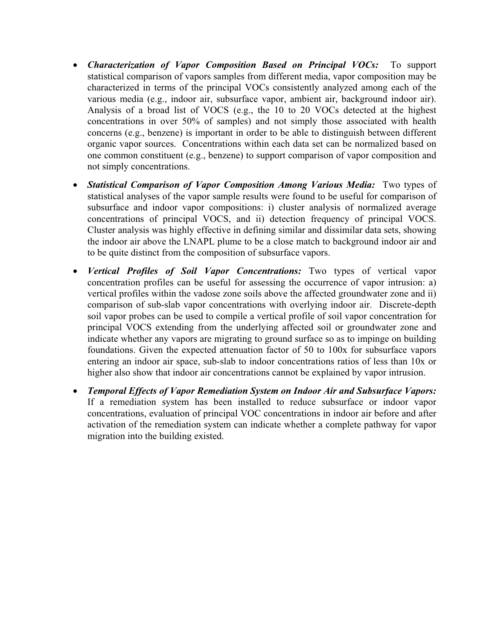- Characterization of Vapor Composition Based on Principal VOCs: To support statistical comparison of vapors samples from different media, vapor composition may be characterized in terms of the principal VOCs consistently analyzed among each of the various media (e.g., indoor air, subsurface vapor, ambient air, background indoor air). Analysis of a broad list of VOCS (e.g., the 10 to 20 VOCs detected at the highest concentrations in over 50% of samples) and not simply those associated with health concerns (e.g., benzene) is important in order to be able to distinguish between different organic vapor sources. Concentrations within each data set can be normalized based on one common constituent (e.g., benzene) to support comparison of vapor composition and not simply concentrations.
- Statistical Comparison of Vapor Composition Among Various Media: Two types of statistical analyses of the vapor sample results were found to be useful for comparison of subsurface and indoor vapor compositions: i) cluster analysis of normalized average concentrations of principal VOCS, and ii) detection frequency of principal VOCS. Cluster analysis was highly effective in defining similar and dissimilar data sets, showing the indoor air above the LNAPL plume to be a close match to background indoor air and to be quite distinct from the composition of subsurface vapors.
- Vertical Profiles of Soil Vapor Concentrations: Two types of vertical vapor concentration profiles can be useful for assessing the occurrence of vapor intrusion: a) vertical profiles within the vadose zone soils above the affected groundwater zone and ii) comparison of sub-slab vapor concentrations with overlying indoor air. Discrete-depth soil vapor probes can be used to compile a vertical profile of soil vapor concentration for principal VOCS extending from the underlying affected soil or groundwater zone and indicate whether any vapors are migrating to ground surface so as to impinge on building foundations. Given the expected attenuation factor of 50 to 100x for subsurface vapors entering an indoor air space, sub-slab to indoor concentrations ratios of less than 10x or higher also show that indoor air concentrations cannot be explained by vapor intrusion.
- Temporal Effects of Vapor Remediation System on Indoor Air and Subsurface Vapors: If a remediation system has been installed to reduce subsurface or indoor vapor concentrations, evaluation of principal VOC concentrations in indoor air before and after activation of the remediation system can indicate whether a complete pathway for vapor migration into the building existed.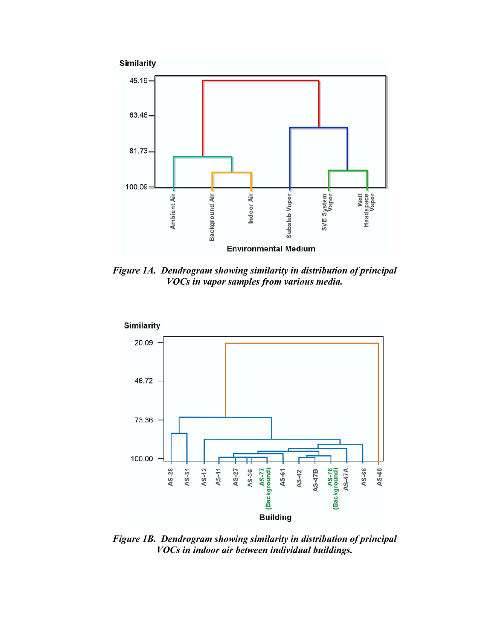



Figure 1A. Dendrogram showing similarity in distribution of principal VOCs in vapor samples from various media.



Figure 1B. Dendrogram showing similarity in distribution of principal VOCs in indoor air between individual buildings.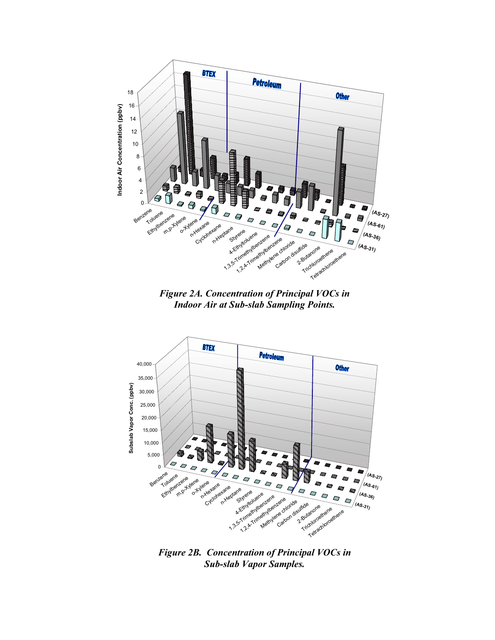

Figure 2B. Concentration of Principal VOCs in Sub-slab Vapor Samples.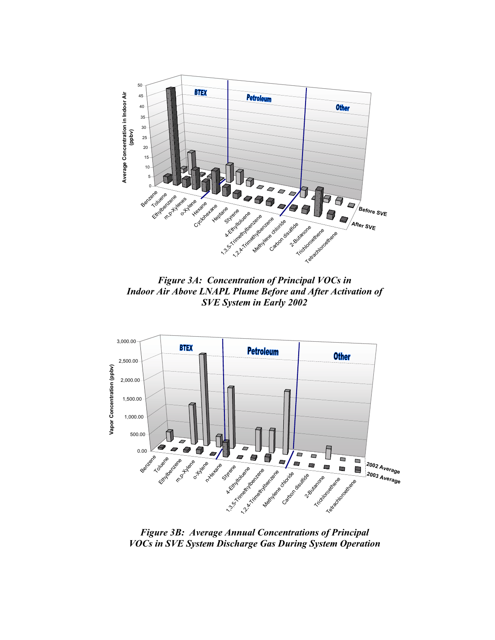

Figure 3A: Concentration of Principal VOCs in Indoor Air Above LNAPL Plume Before and After Activation of SVE System in Early 2002



Figure 3B: Average Annual Concentrations of Principal VOCs in SVE System Discharge Gas During System Operation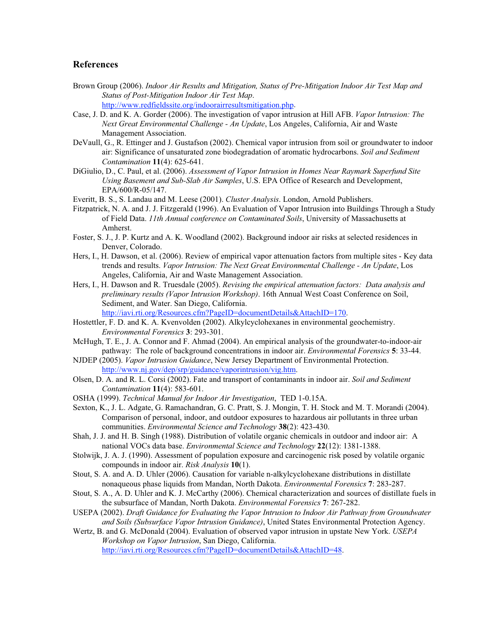#### References

- Brown Group (2006). Indoor Air Results and Mitigation, Status of Pre-Mitigation Indoor Air Test Map and Status of Post-Mitigation Indoor Air Test Map.
	- http://www.redfieldssite.org/indoorairresultsmitigation.php.
- Case, J. D. and K. A. Gorder (2006). The investigation of vapor intrusion at Hill AFB. Vapor Intrusion: The Next Great Environmental Challenge - An Update, Los Angeles, California, Air and Waste Management Association.
- DeVaull, G., R. Ettinger and J. Gustafson (2002). Chemical vapor intrusion from soil or groundwater to indoor air: Significance of unsaturated zone biodegradation of aromatic hydrocarbons. Soil and Sediment Contamination 11(4): 625-641.
- DiGiulio, D., C. Paul, et al. (2006). Assessment of Vapor Intrusion in Homes Near Raymark Superfund Site Using Basement and Sub-Slab Air Samples, U.S. EPA Office of Research and Development, EPA/600/R-05/147.
- Everitt, B. S., S. Landau and M. Leese (2001). Cluster Analysis. London, Arnold Publishers.
- Fitzpatrick, N. A. and J. J. Fitzgerald (1996). An Evaluation of Vapor Intrusion into Buildings Through a Study of Field Data. 11th Annual conference on Contaminated Soils, University of Massachusetts at Amherst.
- Foster, S. J., J. P. Kurtz and A. K. Woodland (2002). Background indoor air risks at selected residences in Denver, Colorado.
- Hers, I., H. Dawson, et al. (2006). Review of empirical vapor attenuation factors from multiple sites Key data trends and results. Vapor Intrusion: The Next Great Environmental Challenge - An Update, Los Angeles, California, Air and Waste Management Association.
- Hers, I., H. Dawson and R. Truesdale (2005). Revising the empirical attenuation factors: Data analysis and preliminary results (Vapor Intrusion Workshop). 16th Annual West Coast Conference on Soil, Sediment, and Water. San Diego, California. http://iavi.rti.org/Resources.cfm?PageID=documentDetails&AttachID=170.
- Hostettler, F. D. and K. A. Kvenvolden (2002). Alkylcyclohexanes in environmental geochemistry. Environmental Forensics 3: 293-301.
- McHugh, T. E., J. A. Connor and F. Ahmad (2004). An empirical analysis of the groundwater-to-indoor-air pathway: The role of background concentrations in indoor air. *Environmental Forensics* 5: 33-44.
- NJDEP (2005). Vapor Intrusion Guidance, New Jersey Department of Environmental Protection. http://www.nj.gov/dep/srp/guidance/vaporintrusion/vig.htm.
- Olsen, D. A. and R. L. Corsi (2002). Fate and transport of contaminants in indoor air. Soil and Sediment Contamination 11(4): 583-601.
- OSHA (1999). Technical Manual for Indoor Air Investigation, TED 1-0.15A.
- Sexton, K., J. L. Adgate, G. Ramachandran, G. C. Pratt, S. J. Mongin, T. H. Stock and M. T. Morandi (2004). Comparison of personal, indoor, and outdoor exposures to hazardous air pollutants in three urban communities. Environmental Science and Technology 38(2): 423-430.
- Shah, J. J. and H. B. Singh (1988). Distribution of volatile organic chemicals in outdoor and indoor air: A national VOCs data base. Environmental Science and Technology 22(12): 1381-1388.
- Stolwijk, J. A. J. (1990). Assessment of population exposure and carcinogenic risk posed by volatile organic compounds in indoor air. Risk Analysis 10(1).
- Stout, S. A. and A. D. Uhler (2006). Causation for variable n-alkylcyclohexane distributions in distillate nonaqueous phase liquids from Mandan, North Dakota. *Environmental Forensics* 7: 283-287.
- Stout, S. A., A. D. Uhler and K. J. McCarthy (2006). Chemical characterization and sources of distillate fuels in the subsurface of Mandan, North Dakota. Environmental Forensics 7: 267-282.
- USEPA (2002). Draft Guidance for Evaluating the Vapor Intrusion to Indoor Air Pathway from Groundwater and Soils (Subsurface Vapor Intrusion Guidance), United States Environmental Protection Agency.
- Wertz, B. and G. McDonald (2004). Evaluation of observed vapor intrusion in upstate New York. USEPA Workshop on Vapor Intrusion, San Diego, California. http://iavi.rti.org/Resources.cfm?PageID=documentDetails&AttachID=48.